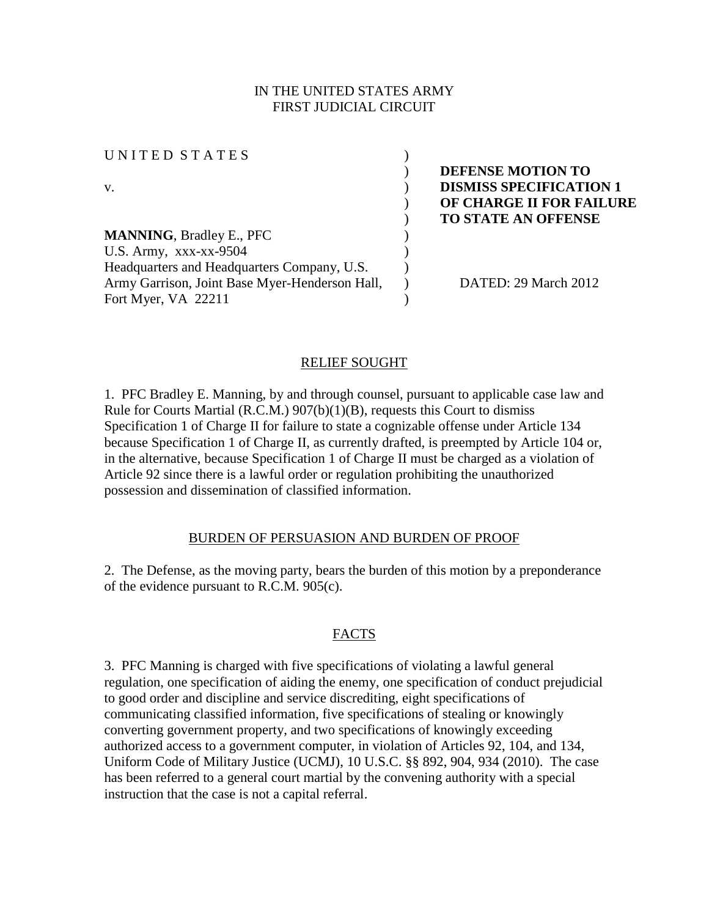# IN THE UNITED STATES ARMY FIRST JUDICIAL CIRCUIT

| UNITED STATES                                  |                                |
|------------------------------------------------|--------------------------------|
|                                                | DEFENSE MOTION TO              |
| V.                                             | <b>DISMISS SPECIFICATION 1</b> |
|                                                | OF CHARGE II FOR FAILURE       |
|                                                | <b>TO STATE AN OFFENSE</b>     |
| <b>MANNING, Bradley E., PFC</b>                |                                |
| U.S. Army, xxx-xx-9504                         |                                |
| Headquarters and Headquarters Company, U.S.    |                                |
| Army Garrison, Joint Base Myer-Henderson Hall, | DATED: 29 March 2012           |
| Fort Myer, VA 22211                            |                                |
|                                                |                                |

### RELIEF SOUGHT

1. PFC Bradley E. Manning, by and through counsel, pursuant to applicable case law and Rule for Courts Martial (R.C.M.) 907(b)(1)(B), requests this Court to dismiss Specification 1 of Charge II for failure to state a cognizable offense under Article 134 because Specification 1 of Charge II, as currently drafted, is preempted by Article 104 or, in the alternative, because Specification 1 of Charge II must be charged as a violation of Article 92 since there is a lawful order or regulation prohibiting the unauthorized possession and dissemination of classified information.

### BURDEN OF PERSUASION AND BURDEN OF PROOF

2. The Defense, as the moving party, bears the burden of this motion by a preponderance of the evidence pursuant to R.C.M. 905(c).

### FACTS

3. PFC Manning is charged with five specifications of violating a lawful general regulation, one specification of aiding the enemy, one specification of conduct prejudicial to good order and discipline and service discrediting, eight specifications of communicating classified information, five specifications of stealing or knowingly converting government property, and two specifications of knowingly exceeding authorized access to a government computer, in violation of Articles 92, 104, and 134, Uniform Code of Military Justice (UCMJ), 10 U.S.C. §§ 892, 904, 934 (2010). The case has been referred to a general court martial by the convening authority with a special instruction that the case is not a capital referral.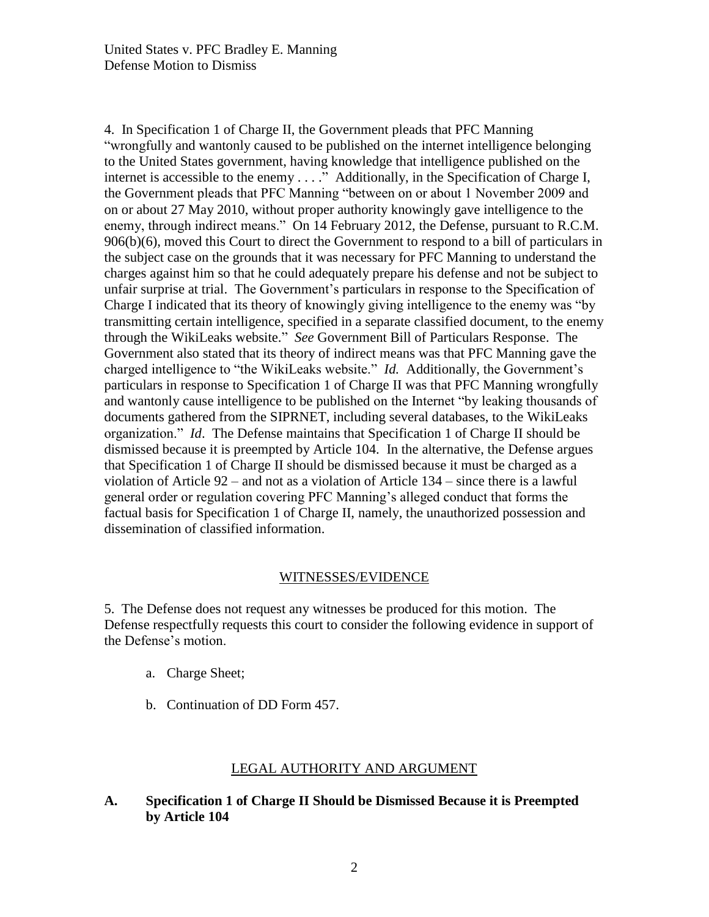4. In Specification 1 of Charge II, the Government pleads that PFC Manning "wrongfully and wantonly caused to be published on the internet intelligence belonging to the United States government, having knowledge that intelligence published on the internet is accessible to the enemy . . . ." Additionally, in the Specification of Charge I, the Government pleads that PFC Manning "between on or about 1 November 2009 and on or about 27 May 2010, without proper authority knowingly gave intelligence to the enemy, through indirect means." On 14 February 2012, the Defense, pursuant to R.C.M. 906(b)(6), moved this Court to direct the Government to respond to a bill of particulars in the subject case on the grounds that it was necessary for PFC Manning to understand the charges against him so that he could adequately prepare his defense and not be subject to unfair surprise at trial. The Government's particulars in response to the Specification of Charge I indicated that its theory of knowingly giving intelligence to the enemy was "by transmitting certain intelligence, specified in a separate classified document, to the enemy through the WikiLeaks website." *See* Government Bill of Particulars Response. The Government also stated that its theory of indirect means was that PFC Manning gave the charged intelligence to "the WikiLeaks website." *Id.* Additionally, the Government's particulars in response to Specification 1 of Charge II was that PFC Manning wrongfully and wantonly cause intelligence to be published on the Internet "by leaking thousands of documents gathered from the SIPRNET, including several databases, to the WikiLeaks organization." *Id*. The Defense maintains that Specification 1 of Charge II should be dismissed because it is preempted by Article 104. In the alternative, the Defense argues that Specification 1 of Charge II should be dismissed because it must be charged as a violation of Article 92 – and not as a violation of Article 134 – since there is a lawful general order or regulation covering PFC Manning's alleged conduct that forms the factual basis for Specification 1 of Charge II, namely, the unauthorized possession and dissemination of classified information.

### WITNESSES/EVIDENCE

5. The Defense does not request any witnesses be produced for this motion. The Defense respectfully requests this court to consider the following evidence in support of the Defense's motion.

- a. Charge Sheet;
- b. Continuation of DD Form 457.

# LEGAL AUTHORITY AND ARGUMENT

# **A. Specification 1 of Charge II Should be Dismissed Because it is Preempted by Article 104**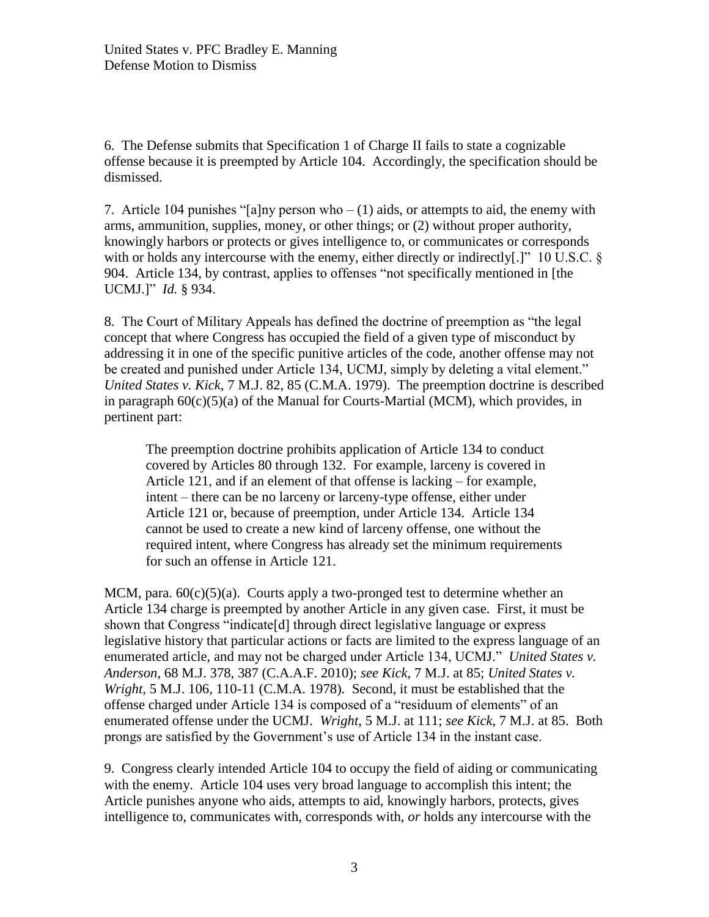6. The Defense submits that Specification 1 of Charge II fails to state a cognizable offense because it is preempted by Article 104. Accordingly, the specification should be dismissed.

7. Article 104 punishes "[a]ny person who  $- (1)$  aids, or attempts to aid, the enemy with arms, ammunition, supplies, money, or other things; or (2) without proper authority, knowingly harbors or protects or gives intelligence to, or communicates or corresponds with or holds any intercourse with the enemy, either directly or indirectly[.]" 10 U.S.C. § 904. Article 134, by contrast, applies to offenses "not specifically mentioned in [the UCMJ.]" *Id.* § 934.

8. The Court of Military Appeals has defined the doctrine of preemption as "the legal concept that where Congress has occupied the field of a given type of misconduct by addressing it in one of the specific punitive articles of the code, another offense may not be created and punished under Article 134, UCMJ, simply by deleting a vital element." *United States v. Kick*, 7 M.J. 82, 85 (C.M.A. 1979). The preemption doctrine is described in paragraph 60(c)(5)(a) of the Manual for Courts-Martial (MCM), which provides, in pertinent part:

The preemption doctrine prohibits application of Article 134 to conduct covered by Articles 80 through 132. For example, larceny is covered in Article 121, and if an element of that offense is lacking – for example, intent – there can be no larceny or larceny-type offense, either under Article 121 or, because of preemption, under Article 134. Article 134 cannot be used to create a new kind of larceny offense, one without the required intent, where Congress has already set the minimum requirements for such an offense in Article 121.

MCM, para.  $60(c)(5)(a)$ . Courts apply a two-pronged test to determine whether an Article 134 charge is preempted by another Article in any given case. First, it must be shown that Congress "indicate[d] through direct legislative language or express legislative history that particular actions or facts are limited to the express language of an enumerated article, and may not be charged under Article 134, UCMJ." *United States v. Anderson*, 68 M.J. 378, 387 (C.A.A.F. 2010); *see Kick*, 7 M.J. at 85; *United States v. Wright*, 5 M.J. 106, 110-11 (C.M.A. 1978). Second, it must be established that the offense charged under Article 134 is composed of a "residuum of elements" of an enumerated offense under the UCMJ. *Wright*, 5 M.J. at 111; *see Kick*, 7 M.J. at 85. Both prongs are satisfied by the Government's use of Article 134 in the instant case.

9. Congress clearly intended Article 104 to occupy the field of aiding or communicating with the enemy. Article 104 uses very broad language to accomplish this intent; the Article punishes anyone who aids, attempts to aid, knowingly harbors, protects, gives intelligence to, communicates with, corresponds with, *or* holds any intercourse with the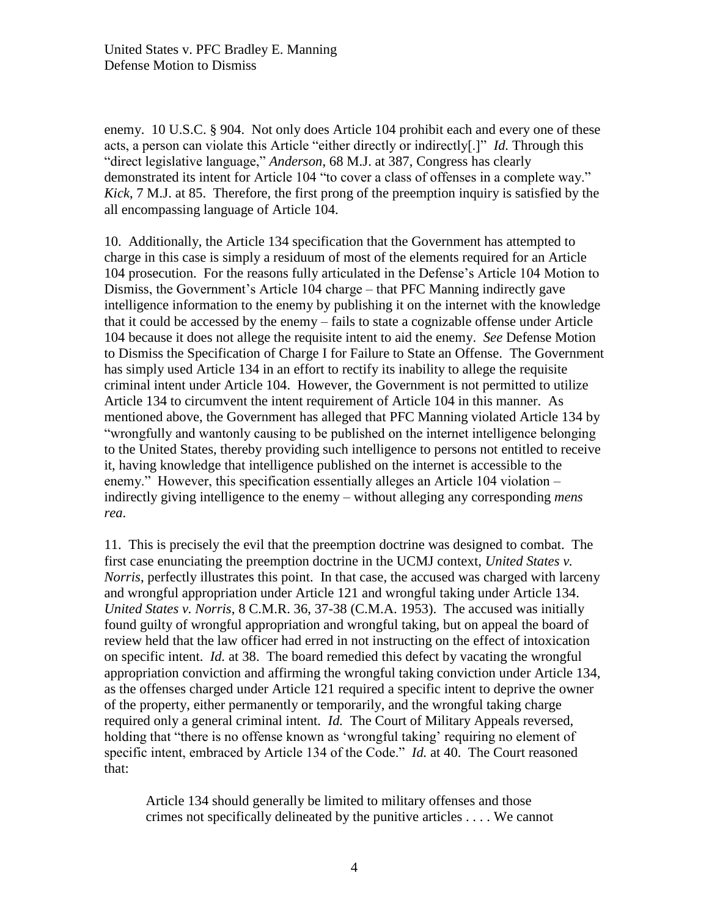enemy. 10 U.S.C. § 904. Not only does Article 104 prohibit each and every one of these acts, a person can violate this Article "either directly or indirectly[.]" *Id.* Through this "direct legislative language," *Anderson*, 68 M.J. at 387, Congress has clearly demonstrated its intent for Article 104 "to cover a class of offenses in a complete way." *Kick*, 7 M.J. at 85. Therefore, the first prong of the preemption inquiry is satisfied by the all encompassing language of Article 104.

10. Additionally, the Article 134 specification that the Government has attempted to charge in this case is simply a residuum of most of the elements required for an Article 104 prosecution. For the reasons fully articulated in the Defense's Article 104 Motion to Dismiss, the Government's Article 104 charge – that PFC Manning indirectly gave intelligence information to the enemy by publishing it on the internet with the knowledge that it could be accessed by the enemy – fails to state a cognizable offense under Article 104 because it does not allege the requisite intent to aid the enemy. *See* Defense Motion to Dismiss the Specification of Charge I for Failure to State an Offense. The Government has simply used Article 134 in an effort to rectify its inability to allege the requisite criminal intent under Article 104. However, the Government is not permitted to utilize Article 134 to circumvent the intent requirement of Article 104 in this manner. As mentioned above, the Government has alleged that PFC Manning violated Article 134 by "wrongfully and wantonly causing to be published on the internet intelligence belonging to the United States, thereby providing such intelligence to persons not entitled to receive it, having knowledge that intelligence published on the internet is accessible to the enemy." However, this specification essentially alleges an Article 104 violation – indirectly giving intelligence to the enemy – without alleging any corresponding *mens rea*.

11. This is precisely the evil that the preemption doctrine was designed to combat. The first case enunciating the preemption doctrine in the UCMJ context, *United States v. Norris*, perfectly illustrates this point. In that case, the accused was charged with larceny and wrongful appropriation under Article 121 and wrongful taking under Article 134. *United States v. Norris*, 8 C.M.R. 36, 37-38 (C.M.A. 1953). The accused was initially found guilty of wrongful appropriation and wrongful taking, but on appeal the board of review held that the law officer had erred in not instructing on the effect of intoxication on specific intent. *Id.* at 38. The board remedied this defect by vacating the wrongful appropriation conviction and affirming the wrongful taking conviction under Article 134, as the offenses charged under Article 121 required a specific intent to deprive the owner of the property, either permanently or temporarily, and the wrongful taking charge required only a general criminal intent. *Id.* The Court of Military Appeals reversed, holding that "there is no offense known as 'wrongful taking' requiring no element of specific intent, embraced by Article 134 of the Code." *Id.* at 40. The Court reasoned that:

Article 134 should generally be limited to military offenses and those crimes not specifically delineated by the punitive articles . . . . We cannot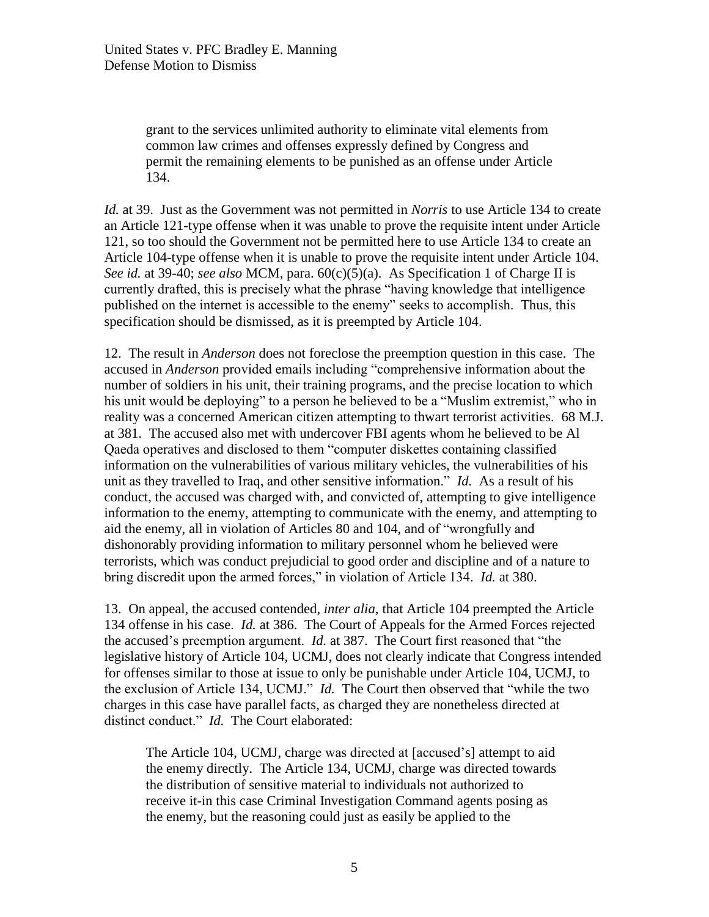grant to the services unlimited authority to eliminate vital elements from common law crimes and offenses expressly defined by Congress and permit the remaining elements to be punished as an offense under Article 134.

*Id.* at 39. Just as the Government was not permitted in *Norris* to use Article 134 to create an Article 121-type offense when it was unable to prove the requisite intent under Article 121, so too should the Government not be permitted here to use Article 134 to create an Article 104-type offense when it is unable to prove the requisite intent under Article 104. *See id.* at 39-40; *see also* MCM, para. 60(c)(5)(a). As Specification 1 of Charge II is currently drafted, this is precisely what the phrase "having knowledge that intelligence published on the internet is accessible to the enemy" seeks to accomplish. Thus, this specification should be dismissed, as it is preempted by Article 104.

12. The result in *Anderson* does not foreclose the preemption question in this case. The accused in *Anderson* provided emails including "comprehensive information about the number of soldiers in his unit, their training programs, and the precise location to which his unit would be deploying" to a person he believed to be a "Muslim extremist," who in reality was a concerned American citizen attempting to thwart terrorist activities. 68 M.J. at 381. The accused also met with undercover FBI agents whom he believed to be Al Qaeda operatives and disclosed to them "computer diskettes containing classified information on the vulnerabilities of various military vehicles, the vulnerabilities of his unit as they travelled to Iraq, and other sensitive information." *Id.* As a result of his conduct, the accused was charged with, and convicted of, attempting to give intelligence information to the enemy, attempting to communicate with the enemy, and attempting to aid the enemy, all in violation of Articles 80 and 104, and of "wrongfully and dishonorably providing information to military personnel whom he believed were terrorists, which was conduct prejudicial to good order and discipline and of a nature to bring discredit upon the armed forces," in violation of Article 134. *Id.* at 380.

13. On appeal, the accused contended, *inter alia*, that Article 104 preempted the Article 134 offense in his case. *Id.* at 386. The Court of Appeals for the Armed Forces rejected the accused's preemption argument. *Id.* at 387. The Court first reasoned that "the legislative history of Article 104, UCMJ, does not clearly indicate that Congress intended for offenses similar to those at issue to only be punishable under Article 104, UCMJ, to the exclusion of Article 134, UCMJ." *Id.* The Court then observed that "while the two charges in this case have parallel facts, as charged they are nonetheless directed at distinct conduct." *Id.* The Court elaborated:

The Article 104, UCMJ, charge was directed at [accused's] attempt to aid the enemy directly. The Article 134, UCMJ, charge was directed towards the distribution of sensitive material to individuals not authorized to receive it-in this case Criminal Investigation Command agents posing as the enemy, but the reasoning could just as easily be applied to the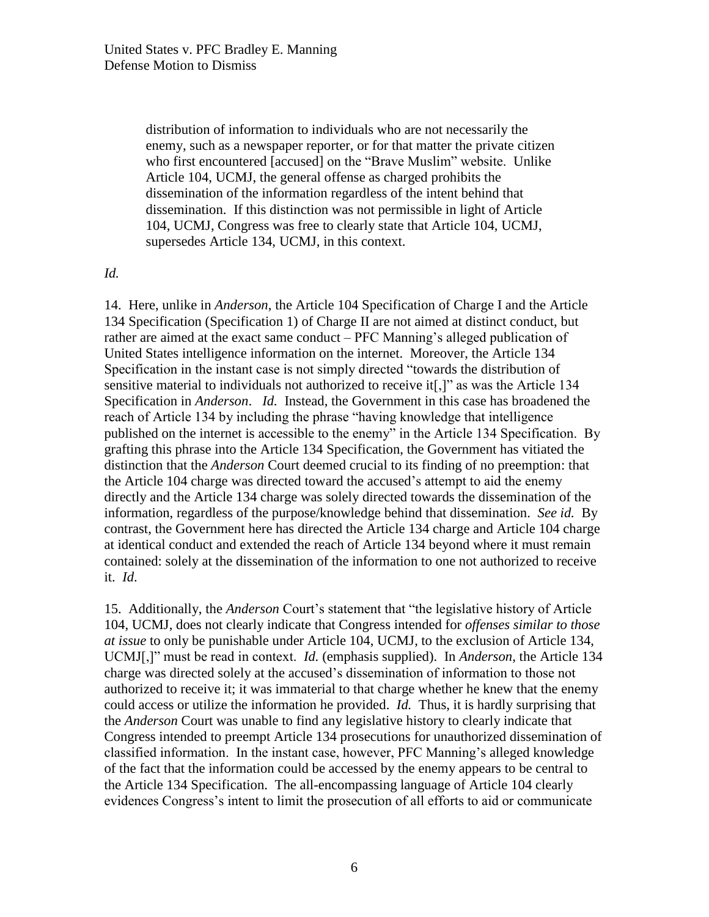distribution of information to individuals who are not necessarily the enemy, such as a newspaper reporter, or for that matter the private citizen who first encountered [accused] on the "Brave Muslim" website. Unlike Article 104, UCMJ, the general offense as charged prohibits the dissemination of the information regardless of the intent behind that dissemination. If this distinction was not permissible in light of Article 104, UCMJ, Congress was free to clearly state that Article 104, UCMJ, supersedes Article 134, UCMJ, in this context.

### *Id.*

14. Here, unlike in *Anderson*, the Article 104 Specification of Charge I and the Article 134 Specification (Specification 1) of Charge II are not aimed at distinct conduct, but rather are aimed at the exact same conduct – PFC Manning's alleged publication of United States intelligence information on the internet. Moreover, the Article 134 Specification in the instant case is not simply directed "towards the distribution of sensitive material to individuals not authorized to receive it[,]" as was the Article 134 Specification in *Anderson*. *Id.* Instead, the Government in this case has broadened the reach of Article 134 by including the phrase "having knowledge that intelligence published on the internet is accessible to the enemy" in the Article 134 Specification. By grafting this phrase into the Article 134 Specification, the Government has vitiated the distinction that the *Anderson* Court deemed crucial to its finding of no preemption: that the Article 104 charge was directed toward the accused's attempt to aid the enemy directly and the Article 134 charge was solely directed towards the dissemination of the information, regardless of the purpose/knowledge behind that dissemination. *See id.* By contrast, the Government here has directed the Article 134 charge and Article 104 charge at identical conduct and extended the reach of Article 134 beyond where it must remain contained: solely at the dissemination of the information to one not authorized to receive it. *Id*.

15. Additionally, the *Anderson* Court's statement that "the legislative history of Article 104, UCMJ, does not clearly indicate that Congress intended for *offenses similar to those at issue* to only be punishable under Article 104, UCMJ, to the exclusion of Article 134, UCMJ[,]" must be read in context. *Id.* (emphasis supplied). In *Anderson*, the Article 134 charge was directed solely at the accused's dissemination of information to those not authorized to receive it; it was immaterial to that charge whether he knew that the enemy could access or utilize the information he provided. *Id.* Thus, it is hardly surprising that the *Anderson* Court was unable to find any legislative history to clearly indicate that Congress intended to preempt Article 134 prosecutions for unauthorized dissemination of classified information. In the instant case, however, PFC Manning's alleged knowledge of the fact that the information could be accessed by the enemy appears to be central to the Article 134 Specification. The all-encompassing language of Article 104 clearly evidences Congress's intent to limit the prosecution of all efforts to aid or communicate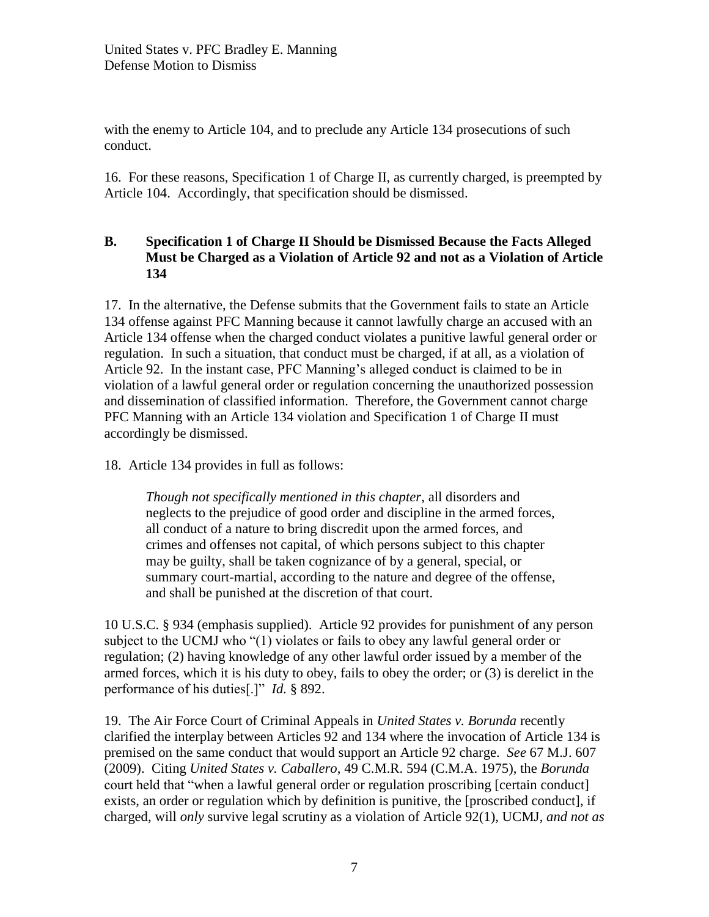with the enemy to Article 104, and to preclude any Article 134 prosecutions of such conduct.

16. For these reasons, Specification 1 of Charge II, as currently charged, is preempted by Article 104. Accordingly, that specification should be dismissed.

# **B. Specification 1 of Charge II Should be Dismissed Because the Facts Alleged Must be Charged as a Violation of Article 92 and not as a Violation of Article 134**

17. In the alternative, the Defense submits that the Government fails to state an Article 134 offense against PFC Manning because it cannot lawfully charge an accused with an Article 134 offense when the charged conduct violates a punitive lawful general order or regulation. In such a situation, that conduct must be charged, if at all, as a violation of Article 92. In the instant case, PFC Manning's alleged conduct is claimed to be in violation of a lawful general order or regulation concerning the unauthorized possession and dissemination of classified information. Therefore, the Government cannot charge PFC Manning with an Article 134 violation and Specification 1 of Charge II must accordingly be dismissed.

18. Article 134 provides in full as follows:

*Though not specifically mentioned in this chapter*, all disorders and neglects to the prejudice of good order and discipline in the armed forces, all conduct of a nature to bring discredit upon the armed forces, and crimes and offenses not capital, of which persons subject to this chapter may be guilty, shall be taken cognizance of by a general, special, or summary court-martial, according to the nature and degree of the offense, and shall be punished at the discretion of that court.

10 U.S.C. § 934 (emphasis supplied). Article 92 provides for punishment of any person subject to the UCMJ who "(1) violates or fails to obey any lawful general order or regulation; (2) having knowledge of any other lawful order issued by a member of the armed forces, which it is his duty to obey, fails to obey the order; or (3) is derelict in the performance of his duties[.]" *Id.* § 892.

19. The Air Force Court of Criminal Appeals in *United States v. Borunda* recently clarified the interplay between Articles 92 and 134 where the invocation of Article 134 is premised on the same conduct that would support an Article 92 charge. *See* 67 M.J. 607 (2009). Citing *United States v. Caballero*, 49 C.M.R. 594 (C.M.A. 1975), the *Borunda* court held that "when a lawful general order or regulation proscribing [certain conduct] exists, an order or regulation which by definition is punitive, the [proscribed conduct], if charged, will *only* survive legal scrutiny as a violation of Article 92(1), UCMJ, *and not as*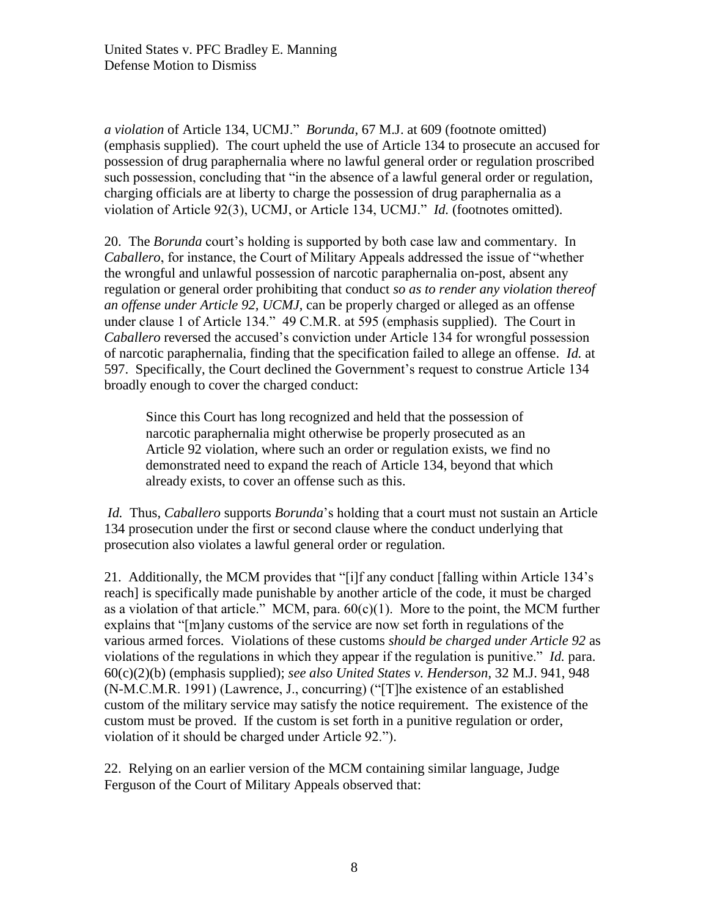*a violation* of Article 134, UCMJ." *Borunda*, 67 M.J. at 609 (footnote omitted) (emphasis supplied). The court upheld the use of Article 134 to prosecute an accused for possession of drug paraphernalia where no lawful general order or regulation proscribed such possession, concluding that "in the absence of a lawful general order or regulation, charging officials are at liberty to charge the possession of drug paraphernalia as a violation of Article 92(3), UCMJ, or Article 134, UCMJ." *Id.* (footnotes omitted).

20. The *Borunda* court's holding is supported by both case law and commentary. In *Caballero*, for instance, the Court of Military Appeals addressed the issue of "whether the wrongful and unlawful possession of narcotic paraphernalia on-post, absent any regulation or general order prohibiting that conduct *so as to render any violation thereof an offense under Article 92, UCMJ*, can be properly charged or alleged as an offense under clause 1 of Article 134." 49 C.M.R. at 595 (emphasis supplied). The Court in *Caballero* reversed the accused's conviction under Article 134 for wrongful possession of narcotic paraphernalia, finding that the specification failed to allege an offense. *Id.* at 597. Specifically, the Court declined the Government's request to construe Article 134 broadly enough to cover the charged conduct:

Since this Court has long recognized and held that the possession of narcotic paraphernalia might otherwise be properly prosecuted as an Article 92 violation, where such an order or regulation exists, we find no demonstrated need to expand the reach of Article 134, beyond that which already exists, to cover an offense such as this.

*Id.* Thus, *Caballero* supports *Borunda*'s holding that a court must not sustain an Article 134 prosecution under the first or second clause where the conduct underlying that prosecution also violates a lawful general order or regulation.

21. Additionally, the MCM provides that "[i]f any conduct [falling within Article 134's reach] is specifically made punishable by another article of the code, it must be charged as a violation of that article." MCM, para.  $60(c)(1)$ . More to the point, the MCM further explains that "[m]any customs of the service are now set forth in regulations of the various armed forces. Violations of these customs *should be charged under Article 92* as violations of the regulations in which they appear if the regulation is punitive." *Id.* para. 60(c)(2)(b) (emphasis supplied); *see also United States v. Henderson*, 32 M.J. 941, 948 (N-M.C.M.R. 1991) (Lawrence, J., concurring) ("[T]he existence of an established custom of the military service may satisfy the notice requirement. The existence of the custom must be proved. If the custom is set forth in a punitive regulation or order, violation of it should be charged under Article 92.").

22. Relying on an earlier version of the MCM containing similar language, Judge Ferguson of the Court of Military Appeals observed that: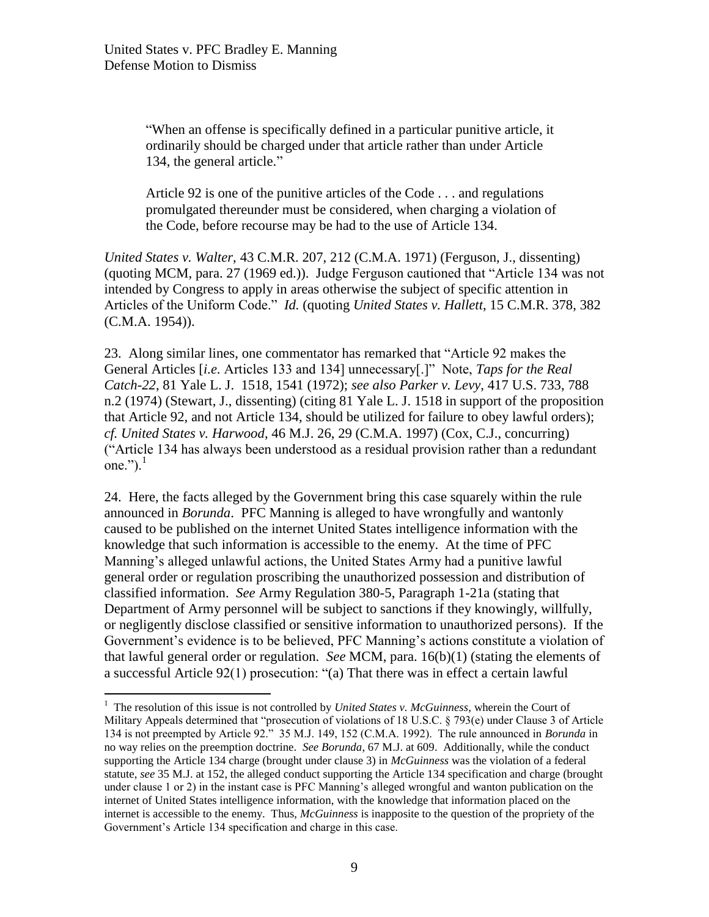$\overline{a}$ 

"When an offense is specifically defined in a particular punitive article, it ordinarily should be charged under that article rather than under Article 134, the general article."

Article 92 is one of the punitive articles of the Code . . . and regulations promulgated thereunder must be considered, when charging a violation of the Code, before recourse may be had to the use of Article 134.

*United States v. Walter*, 43 C.M.R. 207, 212 (C.M.A. 1971) (Ferguson, J., dissenting) (quoting MCM, para. 27 (1969 ed.)). Judge Ferguson cautioned that "Article 134 was not intended by Congress to apply in areas otherwise the subject of specific attention in Articles of the Uniform Code." *Id.* (quoting *United States v. Hallett*, 15 C.M.R. 378, 382 (C.M.A. 1954)).

23. Along similar lines, one commentator has remarked that "Article 92 makes the General Articles [*i.e.* Articles 133 and 134] unnecessary[.]" Note, *Taps for the Real Catch-22*, 81 Yale L. J. 1518, 1541 (1972); *see also Parker v. Levy*, 417 U.S. 733, 788 n.2 (1974) (Stewart, J., dissenting) (citing 81 Yale L. J. 1518 in support of the proposition that Article 92, and not Article 134, should be utilized for failure to obey lawful orders); *cf. United States v. Harwood*, 46 M.J. 26, 29 (C.M.A. 1997) (Cox, C.J., concurring) ("Article 134 has always been understood as a residual provision rather than a redundant one." $)$ .<sup>1</sup>

24. Here, the facts alleged by the Government bring this case squarely within the rule announced in *Borunda*. PFC Manning is alleged to have wrongfully and wantonly caused to be published on the internet United States intelligence information with the knowledge that such information is accessible to the enemy. At the time of PFC Manning's alleged unlawful actions, the United States Army had a punitive lawful general order or regulation proscribing the unauthorized possession and distribution of classified information. *See* Army Regulation 380-5, Paragraph 1-21a (stating that Department of Army personnel will be subject to sanctions if they knowingly, willfully, or negligently disclose classified or sensitive information to unauthorized persons). If the Government's evidence is to be believed, PFC Manning's actions constitute a violation of that lawful general order or regulation. *See* MCM, para. 16(b)(1) (stating the elements of a successful Article 92(1) prosecution: "(a) That there was in effect a certain lawful

<sup>&</sup>lt;sup>1</sup> The resolution of this issue is not controlled by *United States v. McGuinness*, wherein the Court of Military Appeals determined that "prosecution of violations of 18 U.S.C. § 793(e) under Clause 3 of Article 134 is not preempted by Article 92." 35 M.J. 149, 152 (C.M.A. 1992). The rule announced in *Borunda* in no way relies on the preemption doctrine. *See Borunda*, 67 M.J. at 609. Additionally, while the conduct supporting the Article 134 charge (brought under clause 3) in *McGuinness* was the violation of a federal statute, *see* 35 M.J. at 152, the alleged conduct supporting the Article 134 specification and charge (brought under clause 1 or 2) in the instant case is PFC Manning's alleged wrongful and wanton publication on the internet of United States intelligence information, with the knowledge that information placed on the internet is accessible to the enemy. Thus, *McGuinness* is inapposite to the question of the propriety of the Government's Article 134 specification and charge in this case.